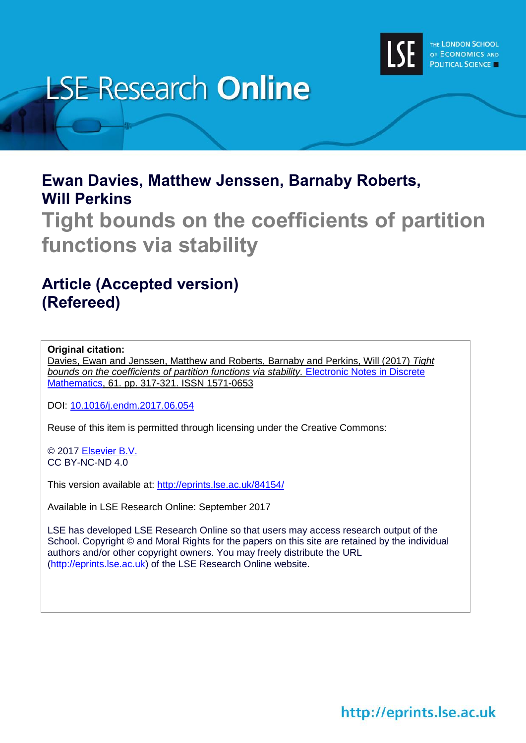

# **LSE Research Online**

## **Ewan Davies, Matthew Jenssen, Barnaby Roberts, Will Perkins**

**Tight bounds on the coefficients of partition functions via stability**

# **Article (Accepted version) (Refereed)**

## **Original citation:**

Davies, Ewan and Jenssen, Matthew and Roberts, Barnaby and Perkins, Will (2017) *Tight bounds on the coefficients of partition functions via stability.* [Electronic Notes in Discrete](https://www.journals.elsevier.com/electronic-notes-in-discrete-mathematics)  [Mathematics,](https://www.journals.elsevier.com/electronic-notes-in-discrete-mathematics) 61. pp. 317-321. ISSN 1571-0653

DOI: [10.1016/j.endm.2017.06.054](http://doi.org/10.1016/j.endm.2017.06.054)

Reuse of this item is permitted through licensing under the Creative Commons:

© 2017 [Elsevier B.V.](https://www.elsevier.com/) CC BY-NC-ND 4.0

This version available at: <http://eprints.lse.ac.uk/84154/>

Available in LSE Research Online: September 2017

LSE has developed LSE Research Online so that users may access research output of the School. Copyright © and Moral Rights for the papers on this site are retained by the individual authors and/or other copyright owners. You may freely distribute the URL (http://eprints.lse.ac.uk) of the LSE Research Online website.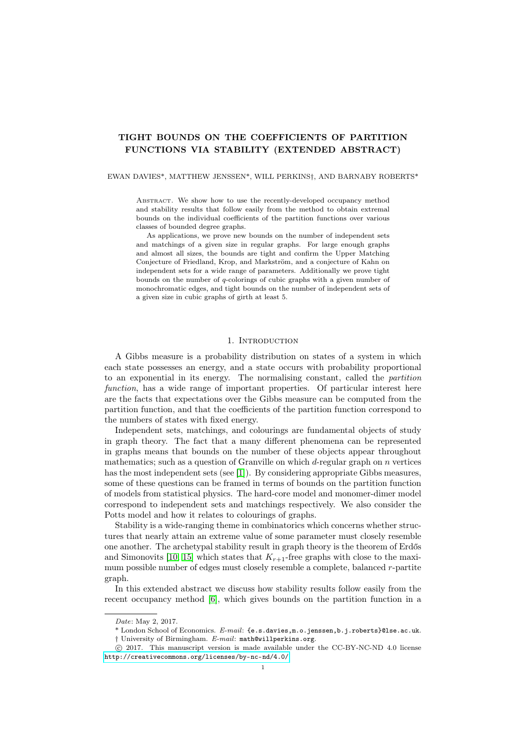### TIGHT BOUNDS ON THE COEFFICIENTS OF PARTITION FUNCTIONS VIA STABILITY (EXTENDED ABSTRACT)

#### EWAN DAVIES\*, MATTHEW JENSSEN\*, WILL PERKINS†, AND BARNABY ROBERTS\*

ABSTRACT. We show how to use the recently-developed occupancy method and stability results that follow easily from the method to obtain extremal bounds on the individual coefficients of the partition functions over various classes of bounded degree graphs.

As applications, we prove new bounds on the number of independent sets and matchings of a given size in regular graphs. For large enough graphs and almost all sizes, the bounds are tight and confirm the Upper Matching Conjecture of Friedland, Krop, and Markström, and a conjecture of Kahn on independent sets for a wide range of parameters. Additionally we prove tight bounds on the number of q-colorings of cubic graphs with a given number of monochromatic edges, and tight bounds on the number of independent sets of a given size in cubic graphs of girth at least 5.

#### 1. INTRODUCTION

A Gibbs measure is a probability distribution on states of a system in which each state possesses an energy, and a state occurs with probability proportional to an exponential in its energy. The normalising constant, called the partition function, has a wide range of important properties. Of particular interest here are the facts that expectations over the Gibbs measure can be computed from the partition function, and that the coefficients of the partition function correspond to the numbers of states with fixed energy.

Independent sets, matchings, and colourings are fundamental objects of study in graph theory. The fact that a many different phenomena can be represented in graphs means that bounds on the number of these objects appear throughout mathematics; such as a question of Granville on which  $d$ -regular graph on  $n$  vertices has the most independent sets (see [\[1\]](#page-3-0)). By considering appropriate Gibbs measures, some of these questions can be framed in terms of bounds on the partition function of models from statistical physics. The hard-core model and monomer-dimer model correspond to independent sets and matchings respectively. We also consider the Potts model and how it relates to colourings of graphs.

Stability is a wide-ranging theme in combinatorics which concerns whether structures that nearly attain an extreme value of some parameter must closely resemble one another. The archetypal stability result in graph theory is the theorem of Erdős and Simonovits [\[10,](#page-3-1) [15\]](#page-4-0) which states that  $K_{r+1}$ -free graphs with close to the maximum possible number of edges must closely resemble a complete, balanced r-partite graph.

In this extended abstract we discuss how stability results follow easily from the recent occupancy method [\[6\]](#page-3-2), which gives bounds on the partition function in a

Date: May 2, 2017.

<sup>\*</sup> London School of Economics. E-mail: {e.s.davies,m.o.jenssen,b.j.roberts}@lse.ac.uk. † University of Birmingham. E-mail: math@willperkins.org.

c 2017. This manuscript version is made available under the CC-BY-NC-ND 4.0 license <http://creativecommons.org/licenses/by-nc-nd/4.0/>.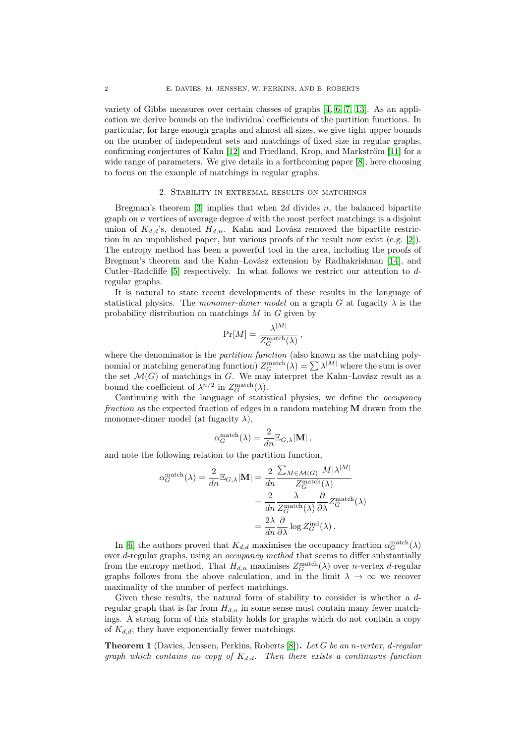variety of Gibbs measures over certain classes of graphs [\[4,](#page-3-3) [6,](#page-3-2) [7,](#page-3-4) [13\]](#page-3-5). As an application we derive bounds on the individual coefficients of the partition functions. In particular, for large enough graphs and almost all sizes, we give tight upper bounds on the number of independent sets and matchings of fixed size in regular graphs, confirming conjectures of Kahn [\[12\]](#page-3-6) and Friedland, Krop, and Markström [\[11\]](#page-3-7) for a wide range of parameters. We give details in a forthcoming paper [\[8\]](#page-3-8), here choosing to focus on the example of matchings in regular graphs.

#### 2. Stability in extremal results on matchings

Bregman's theorem [\[3\]](#page-3-9) implies that when 2d divides  $n$ , the balanced bipartite graph on  $n$  vertices of average degree  $d$  with the most perfect matchings is a disjoint union of  $K_{d,d}$ 's, denoted  $H_{d,n}$ . Kahn and Lovász removed the bipartite restriction in an unpublished paper, but various proofs of the result now exist (e.g. [\[2\]](#page-3-10)). The entropy method has been a powerful tool in the area, including the proofs of Bregman's theorem and the Kahn–Lovász extension by Radhakrishnan [\[14\]](#page-3-11), and Cutler–Radcliffe [\[5\]](#page-3-12) respectively. In what follows we restrict our attention to dregular graphs.

It is natural to state recent developments of these results in the language of statistical physics. The monomer-dimer model on a graph G at fugacity  $\lambda$  is the probability distribution on matchings  $M$  in  $G$  given by

$$
\Pr[M] = \frac{\lambda^{|M|}}{Z_G^{\text{match}}(\lambda)},
$$

where the denominator is the *partition function* (also known as the matching polynomial or matching generating function)  $Z_G^{\text{match}}(\lambda) = \sum_{\alpha} \lambda^{|M|}$  where the sum is over the set  $\mathcal{M}(G)$  of matchings in G. We may interpret the Kahn–Lovász result as a bound the coefficient of  $\lambda^{n/2}$  in  $Z_G^{\text{match}}(\lambda)$ .

Continuing with the language of statistical physics, we define the *occupancy* fraction as the expected fraction of edges in a random matching M drawn from the monomer-dimer model (at fugacity  $\lambda$ ),

$$
\alpha_G^{\text{match}}(\lambda) = \frac{2}{dn} \mathbb{E}_{G,\lambda} |\mathbf{M}|,
$$

and note the following relation to the partition function,

$$
\alpha_G^{\text{match}}(\lambda) = \frac{2}{dn} \mathbb{E}_{G,\lambda} |\mathbf{M}| = \frac{2}{dn} \frac{\sum_{M \in \mathcal{M}(G)} |M|\lambda^{|M|}}{Z_G^{\text{match}}(\lambda)}
$$

$$
= \frac{2}{dn} \frac{\lambda}{Z_G^{\text{match}}(\lambda)} \frac{\partial}{\partial \lambda} Z_G^{\text{match}}(\lambda)
$$

$$
= \frac{2\lambda}{dn} \frac{\partial}{\partial \lambda} \log Z_G^{\text{ind}}(\lambda).
$$

In [\[6\]](#page-3-2) the authors proved that  $K_{d,d}$  maximises the occupancy fraction  $\alpha_G^{\text{match}}(\lambda)$ over d-regular graphs, using an occupancy method that seems to differ substantially from the entropy method. That  $H_{d,n}$  maximises  $Z_G^{\text{match}}(\lambda)$  over *n*-vertex *d*-regular graphs follows from the above calculation, and in the limit  $\lambda \to \infty$  we recover maximality of the number of perfect matchings.

Given these results, the natural form of stability to consider is whether a dregular graph that is far from  $H_{d,n}$  in some sense must contain many fewer matchings. A strong form of this stability holds for graphs which do not contain a copy of  $K_{d,d}$ ; they have exponentially fewer matchings.

<span id="page-2-0"></span>**Theorem 1** (Davies, Jenssen, Perkins, Roberts [\[8\]](#page-3-8)). Let G be an n-vertex, d-regular graph which contains no copy of  $K_{d,d}$ . Then there exists a continuous function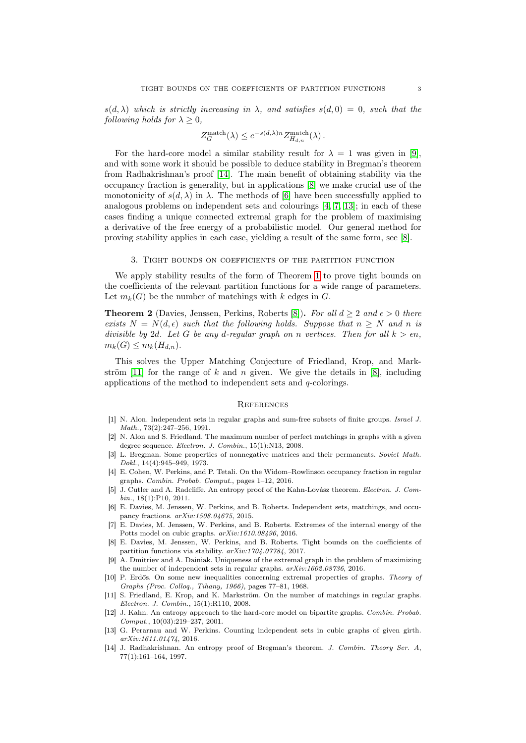$s(d, \lambda)$  which is strictly increasing in  $\lambda$ , and satisfies  $s(d, 0) = 0$ , such that the following holds for  $\lambda > 0$ ,

$$
Z_G^{\text{match}}(\lambda) \leq e^{-s(d,\lambda)n} Z_{H_{d,n}}^{\text{match}}(\lambda).
$$

For the hard-core model a similar stability result for  $\lambda = 1$  was given in [\[9\]](#page-3-13). and with some work it should be possible to deduce stability in Bregman's theorem from Radhakrishnan's proof [\[14\]](#page-3-11). The main benefit of obtaining stability via the occupancy fraction is generality, but in applications [\[8\]](#page-3-8) we make crucial use of the monotonicity of  $s(d, \lambda)$  in  $\lambda$ . The methods of [\[6\]](#page-3-2) have been successfully applied to analogous problems on independent sets and colourings [\[4,](#page-3-3) [7,](#page-3-4) [13\]](#page-3-5); in each of these cases finding a unique connected extremal graph for the problem of maximising a derivative of the free energy of a probabilistic model. Our general method for proving stability applies in each case, yielding a result of the same form, see [\[8\]](#page-3-8).

#### 3. Tight bounds on coefficients of the partition function

We apply stability results of the form of Theorem [1](#page-2-0) to prove tight bounds on the coefficients of the relevant partition functions for a wide range of parameters. Let  $m_k(G)$  be the number of matchings with k edges in G.

**Theorem 2** (Davies, Jenssen, Perkins, Roberts [\[8\]](#page-3-8)). For all  $d \geq 2$  and  $\epsilon > 0$  there exists  $N = N(d, \epsilon)$  such that the following holds. Suppose that  $n > N$  and n is divisible by 2d. Let G be any d-regular graph on n vertices. Then for all  $k > \epsilon n$ ,  $m_k(G) \leq m_k(H_{d,n}).$ 

This solves the Upper Matching Conjecture of Friedland, Krop, and Mark-ström [\[11\]](#page-3-7) for the range of k and n given. We give the details in [\[8\]](#page-3-8), including applications of the method to independent sets and  $q$ -colorings.

#### **REFERENCES**

- <span id="page-3-0"></span>[1] N. Alon. Independent sets in regular graphs and sum-free subsets of finite groups. Israel J. Math., 73(2):247–256, 1991.
- <span id="page-3-10"></span>[2] N. Alon and S. Friedland. The maximum number of perfect matchings in graphs with a given degree sequence. Electron. J. Combin., 15(1):N13, 2008.
- <span id="page-3-9"></span>[3] L. Bregman. Some properties of nonnegative matrices and their permanents. Soviet Math. Dokl., 14(4):945–949, 1973.
- <span id="page-3-3"></span>[4] E. Cohen, W. Perkins, and P. Tetali. On the Widom–Rowlinson occupancy fraction in regular graphs. Combin. Probab. Comput., pages 1–12, 2016.
- <span id="page-3-12"></span>[5] J. Cutler and A. Radcliffe. An entropy proof of the Kahn-Lovász theorem. Electron. J. Combin., 18(1):P10, 2011.
- <span id="page-3-2"></span>[6] E. Davies, M. Jenssen, W. Perkins, and B. Roberts. Independent sets, matchings, and occupancy fractions. arXiv:1508.04675, 2015.
- <span id="page-3-4"></span>[7] E. Davies, M. Jenssen, W. Perkins, and B. Roberts. Extremes of the internal energy of the Potts model on cubic graphs.  $arXiv:1610.08496$ , 2016.
- <span id="page-3-8"></span>[8] E. Davies, M. Jenssen, W. Perkins, and B. Roberts. Tight bounds on the coefficients of partition functions via stability. arXiv:1704.07784, 2017.
- <span id="page-3-13"></span>[9] A. Dmitriev and A. Dainiak. Uniqueness of the extremal graph in the problem of maximizing the number of independent sets in regular graphs. arXiv:1602.08736, 2016.
- <span id="page-3-1"></span>[10] P. Erdős. On some new inequalities concerning extremal properties of graphs. Theory of Graphs (Proc. Colloq., Tihany, 1966), pages 77–81, 1968.
- <span id="page-3-7"></span>[11] S. Friedland, E. Krop, and K. Markström. On the number of matchings in regular graphs. Electron. J. Combin., 15(1):R110, 2008.
- <span id="page-3-6"></span>[12] J. Kahn. An entropy approach to the hard-core model on bipartite graphs. Combin. Probab. Comput., 10(03):219–237, 2001.
- <span id="page-3-5"></span>[13] G. Perarnau and W. Perkins. Counting independent sets in cubic graphs of given girth. arXiv:1611.01474, 2016.
- <span id="page-3-11"></span>[14] J. Radhakrishnan. An entropy proof of Bregman's theorem. J. Combin. Theory Ser. A, 77(1):161–164, 1997.